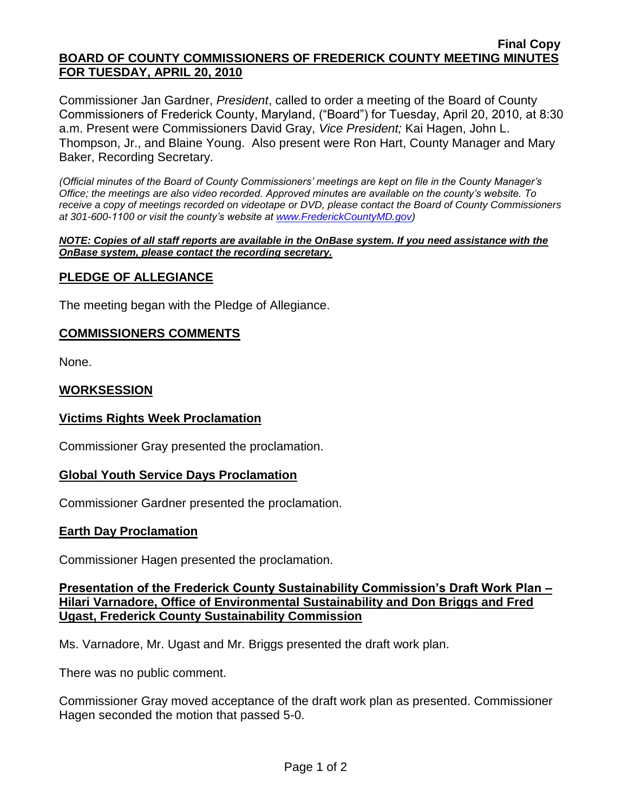#### **Final Copy BOARD OF COUNTY COMMISSIONERS OF FREDERICK COUNTY MEETING MINUTES FOR TUESDAY, APRIL 20, 2010**

Commissioner Jan Gardner, *President*, called to order a meeting of the Board of County Commissioners of Frederick County, Maryland, ("Board") for Tuesday, April 20, 2010, at 8:30 a.m. Present were Commissioners David Gray, *Vice President;* Kai Hagen, John L. Thompson, Jr., and Blaine Young. Also present were Ron Hart, County Manager and Mary Baker, Recording Secretary.

*(Official minutes of the Board of County Commissioners' meetings are kept on file in the County Manager's Office; the meetings are also video recorded. Approved minutes are available on the county's website. To receive a copy of meetings recorded on videotape or DVD, please contact the Board of County Commissioners at 301-600-1100 or visit the county's website at [www.FrederickCountyMD.gov\)](http://www.frederickcountymd.gov/)*

#### *NOTE: Copies of all staff reports are available in the OnBase system. If you need assistance with the OnBase system, please contact the recording secretary.*

# **PLEDGE OF ALLEGIANCE**

The meeting began with the Pledge of Allegiance.

# **COMMISSIONERS COMMENTS**

None.

# **WORKSESSION**

# **Victims Rights Week Proclamation**

Commissioner Gray presented the proclamation.

#### **Global Youth Service Days Proclamation**

Commissioner Gardner presented the proclamation.

#### **Earth Day Proclamation**

Commissioner Hagen presented the proclamation.

# **Presentation of the Frederick County Sustainability Commission's Draft Work Plan – Hilari Varnadore, Office of Environmental Sustainability and Don Briggs and Fred Ugast, Frederick County Sustainability Commission**

Ms. Varnadore, Mr. Ugast and Mr. Briggs presented the draft work plan.

There was no public comment.

Commissioner Gray moved acceptance of the draft work plan as presented. Commissioner Hagen seconded the motion that passed 5-0.